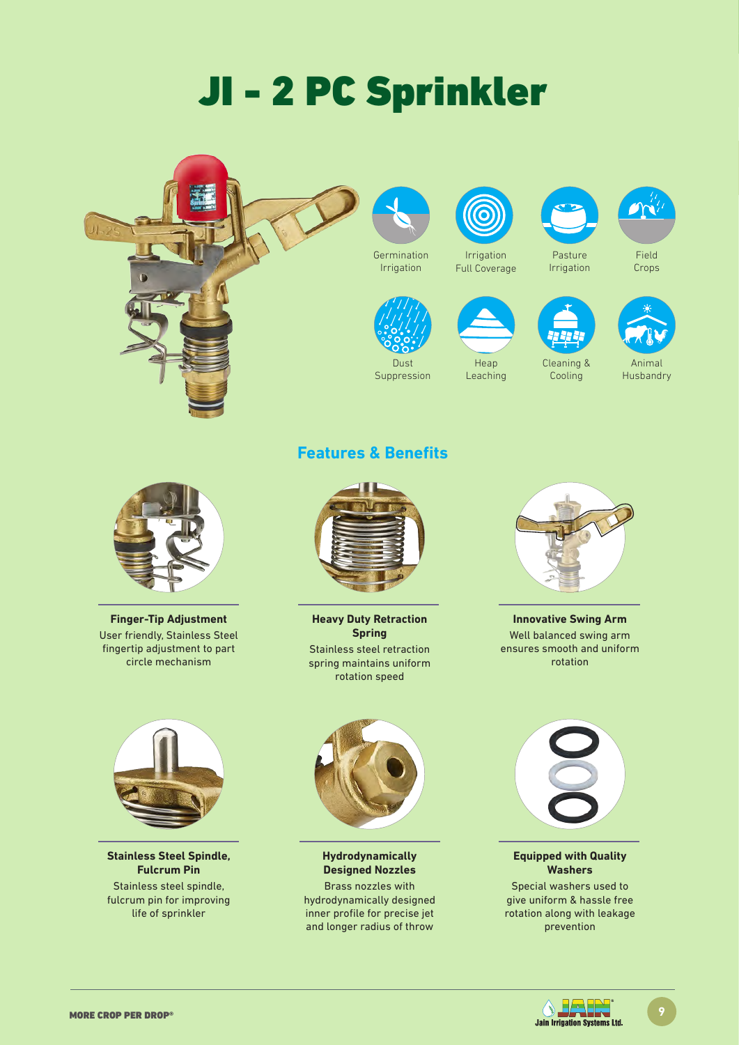# JI - 2 PC Sprinkler







Dust Suppression



Full Coverage

Heap Leaching



Irrigation

Cleaning & Cooling



Field Crops



Animal Husbandry



**Finger-Tip Adjustment** User friendly, Stainless Steel fingertip adjustment to part circle mechanism



**Stainless Steel Spindle, Fulcrum Pin** Stainless steel spindle, fulcrum pin for improving life of sprinkler

### **Features & Benefits**



**Heavy Duty Retraction Spring**  Stainless steel retraction spring maintains uniform rotation speed



**Innovative Swing Arm** Well balanced swing arm ensures smooth and uniform rotation



**Hydrodynamically Designed Nozzles**

Brass nozzles with hydrodynamically designed inner profile for precise jet and longer radius of throw



#### **Equipped with Quality Washers**

Special washers used to give uniform & hassle free rotation along with leakage prevention